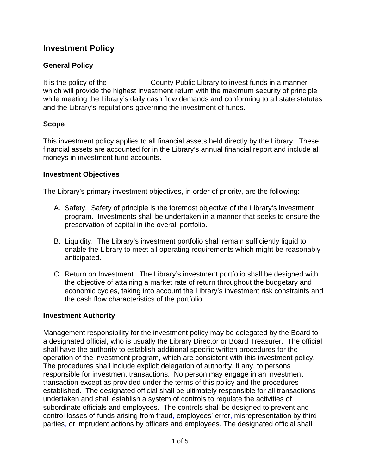# **Investment Policy**

### **General Policy**

It is the policy of the County Public Library to invest funds in a manner which will provide the highest investment return with the maximum security of principle while meeting the Library's daily cash flow demands and conforming to all state statutes and the Library's regulations governing the investment of funds.

### **Scope**

This investment policy applies to all financial assets held directly by the Library. These financial assets are accounted for in the Library's annual financial report and include all moneys in investment fund accounts.

#### **Investment Objectives**

The Library's primary investment objectives, in order of priority, are the following:

- A. Safety. Safety of principle is the foremost objective of the Library's investment program. Investments shall be undertaken in a manner that seeks to ensure the preservation of capital in the overall portfolio.
- B. Liquidity. The Library's investment portfolio shall remain sufficiently liquid to enable the Library to meet all operating requirements which might be reasonably anticipated.
- C. Return on Investment. The Library's investment portfolio shall be designed with the objective of attaining a market rate of return throughout the budgetary and economic cycles, taking into account the Library's investment risk constraints and the cash flow characteristics of the portfolio.

#### **Investment Authority**

Management responsibility for the investment policy may be delegated by the Board to a designated official, who is usually the Library Director or Board Treasurer. The official shall have the authority to establish additional specific written procedures for the operation of the investment program, which are consistent with this investment policy. The procedures shall include explicit delegation of authority, if any, to persons responsible for investment transactions. No person may engage in an investment transaction except as provided under the terms of this policy and the procedures established. The designated official shall be ultimately responsible for all transactions undertaken and shall establish a system of controls to regulate the activities of subordinate officials and employees. The controls shall be designed to prevent and control losses of funds arising from fraud, employees' error, misrepresentation by third parties, or imprudent actions by officers and employees. The designated official shall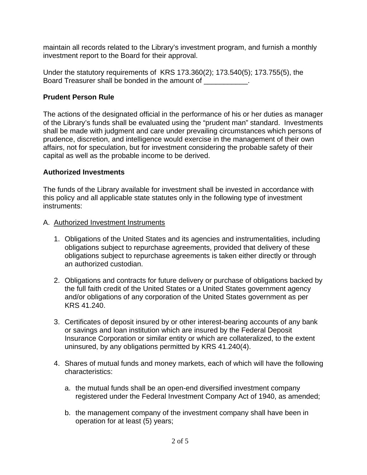maintain all records related to the Library's investment program, and furnish a monthly investment report to the Board for their approval.

Under the statutory requirements of KRS 173.360(2); 173.540(5); 173.755(5), the Board Treasurer shall be bonded in the amount of \_\_\_\_\_\_\_\_\_\_\_.

### **Prudent Person Rule**

The actions of the designated official in the performance of his or her duties as manager of the Library's funds shall be evaluated using the "prudent man" standard. Investments shall be made with judgment and care under prevailing circumstances which persons of prudence, discretion, and intelligence would exercise in the management of their own affairs, not for speculation, but for investment considering the probable safety of their capital as well as the probable income to be derived.

### **Authorized Investments**

The funds of the Library available for investment shall be invested in accordance with this policy and all applicable state statutes only in the following type of investment instruments:

- A. Authorized Investment Instruments
	- 1. Obligations of the United States and its agencies and instrumentalities, including obligations subject to repurchase agreements, provided that delivery of these obligations subject to repurchase agreements is taken either directly or through an authorized custodian.
	- 2. Obligations and contracts for future delivery or purchase of obligations backed by the full faith credit of the United States or a United States government agency and/or obligations of any corporation of the United States government as per KRS 41.240.
	- 3. Certificates of deposit insured by or other interest-bearing accounts of any bank or savings and loan institution which are insured by the Federal Deposit Insurance Corporation or similar entity or which are collateralized, to the extent uninsured, by any obligations permitted by KRS 41.240(4).
	- 4. Shares of mutual funds and money markets, each of which will have the following characteristics:
		- a. the mutual funds shall be an open-end diversified investment company registered under the Federal Investment Company Act of 1940, as amended;
		- b. the management company of the investment company shall have been in operation for at least (5) years;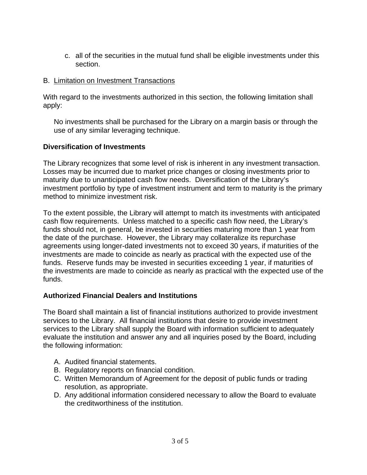c. all of the securities in the mutual fund shall be eligible investments under this section.

#### B. Limitation on Investment Transactions

With regard to the investments authorized in this section, the following limitation shall apply:

No investments shall be purchased for the Library on a margin basis or through the use of any similar leveraging technique.

### **Diversification of Investments**

The Library recognizes that some level of risk is inherent in any investment transaction. Losses may be incurred due to market price changes or closing investments prior to maturity due to unanticipated cash flow needs. Diversification of the Library's investment portfolio by type of investment instrument and term to maturity is the primary method to minimize investment risk.

To the extent possible, the Library will attempt to match its investments with anticipated cash flow requirements. Unless matched to a specific cash flow need, the Library's funds should not, in general, be invested in securities maturing more than 1 year from the date of the purchase. However, the Library may collateralize its repurchase agreements using longer-dated investments not to exceed 30 years, if maturities of the investments are made to coincide as nearly as practical with the expected use of the funds. Reserve funds may be invested in securities exceeding 1 year, if maturities of the investments are made to coincide as nearly as practical with the expected use of the funds.

# **Authorized Financial Dealers and Institutions**

The Board shall maintain a list of financial institutions authorized to provide investment services to the Library. All financial institutions that desire to provide investment services to the Library shall supply the Board with information sufficient to adequately evaluate the institution and answer any and all inquiries posed by the Board, including the following information:

- A. Audited financial statements.
- B. Regulatory reports on financial condition.
- C. Written Memorandum of Agreement for the deposit of public funds or trading resolution, as appropriate.
- D. Any additional information considered necessary to allow the Board to evaluate the creditworthiness of the institution.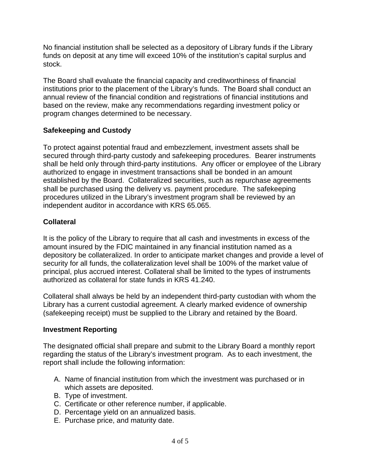No financial institution shall be selected as a depository of Library funds if the Library funds on deposit at any time will exceed 10% of the institution's capital surplus and stock.

The Board shall evaluate the financial capacity and creditworthiness of financial institutions prior to the placement of the Library's funds. The Board shall conduct an annual review of the financial condition and registrations of financial institutions and based on the review, make any recommendations regarding investment policy or program changes determined to be necessary.

# **Safekeeping and Custody**

To protect against potential fraud and embezzlement, investment assets shall be secured through third-party custody and safekeeping procedures. Bearer instruments shall be held only through third-party institutions. Any officer or employee of the Library authorized to engage in investment transactions shall be bonded in an amount established by the Board. Collateralized securities, such as repurchase agreements shall be purchased using the delivery vs. payment procedure. The safekeeping procedures utilized in the Library's investment program shall be reviewed by an independent auditor in accordance with KRS 65.065.

# **Collateral**

It is the policy of the Library to require that all cash and investments in excess of the amount insured by the FDIC maintained in any financial institution named as a depository be collateralized. In order to anticipate market changes and provide a level of security for all funds, the collateralization level shall be 100% of the market value of principal, plus accrued interest. Collateral shall be limited to the types of instruments authorized as collateral for state funds in KRS 41.240.

Collateral shall always be held by an independent third-party custodian with whom the Library has a current custodial agreement. A clearly marked evidence of ownership (safekeeping receipt) must be supplied to the Library and retained by the Board.

# **Investment Reporting**

The designated official shall prepare and submit to the Library Board a monthly report regarding the status of the Library's investment program. As to each investment, the report shall include the following information:

- A. Name of financial institution from which the investment was purchased or in which assets are deposited.
- B. Type of investment.
- C. Certificate or other reference number, if applicable.
- D. Percentage yield on an annualized basis.
- E. Purchase price, and maturity date.